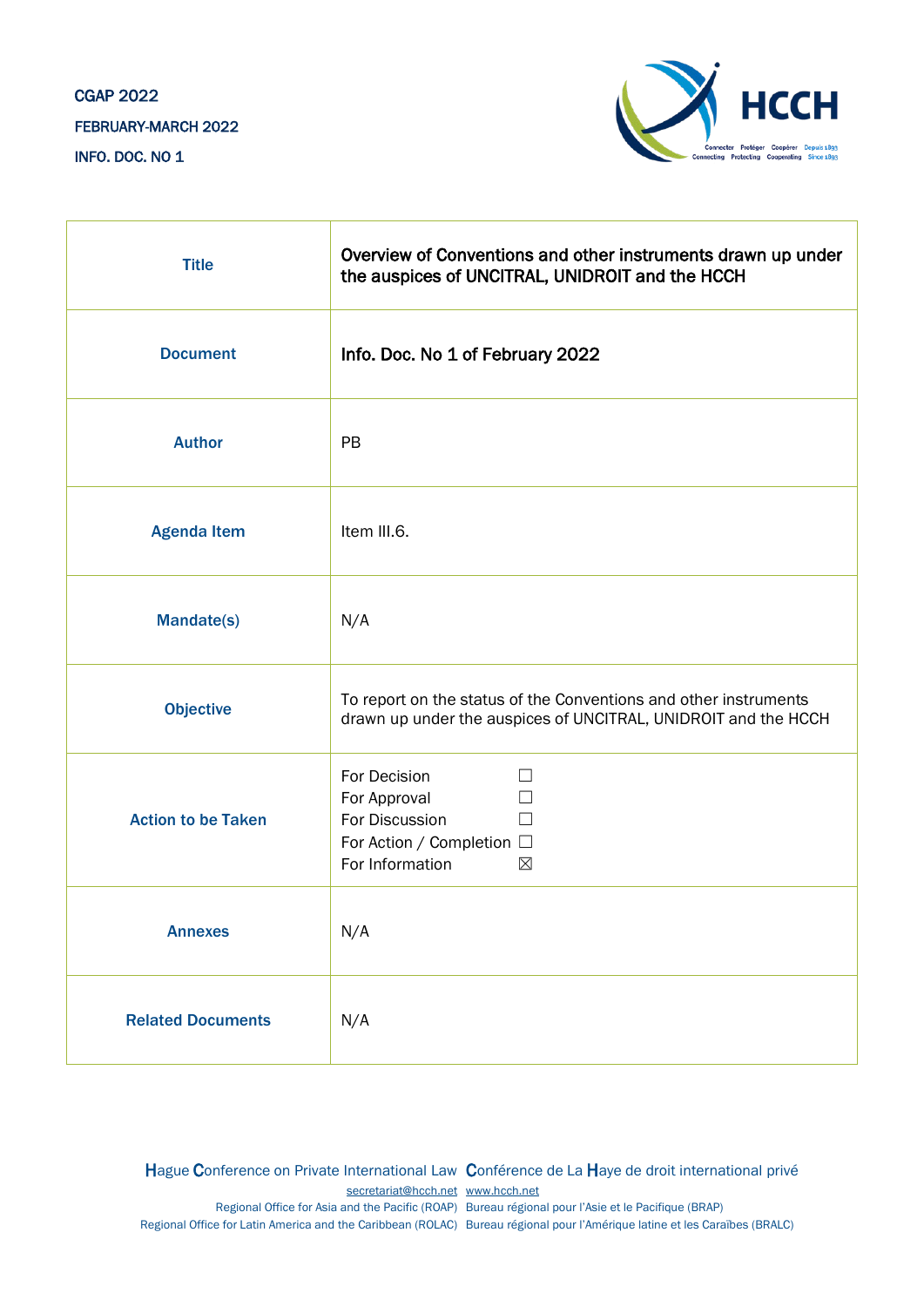# CGAP 2022 FEBRUARY-MARCH 2022 INFO. DOC. NO 1



| <b>Title</b>              | Overview of Conventions and other instruments drawn up under<br>the auspices of UNCITRAL, UNIDROIT and the HCCH                    |
|---------------------------|------------------------------------------------------------------------------------------------------------------------------------|
| <b>Document</b>           | Info. Doc. No 1 of February 2022                                                                                                   |
| <b>Author</b>             | PB                                                                                                                                 |
| <b>Agenda Item</b>        | Item III.6.                                                                                                                        |
| Mandate(s)                | N/A                                                                                                                                |
| <b>Objective</b>          | To report on the status of the Conventions and other instruments<br>drawn up under the auspices of UNCITRAL, UNIDROIT and the HCCH |
| <b>Action to be Taken</b> | For Decision<br>$\mathbf{I}$<br>For Approval<br>For Discussion<br>For Action / Completion □<br>For Information<br>$\boxtimes$      |
| <b>Annexes</b>            | N/A                                                                                                                                |
| <b>Related Documents</b>  | N/A                                                                                                                                |

Hague Conference on Private International Law Conférence de La Haye de droit international privé [secretariat@hcch.net](mailto:secretariat@hcch.net) [www.hcch.net](http://www.hcch.net/) Regional Office for Asia and the Pacific (ROAP) Bureau régional pour l'Asie et le Pacifique (BRAP) Regional Office for Latin America and the Caribbean (ROLAC) Bureau régional pour l'Amérique latine et les Caraïbes (BRALC)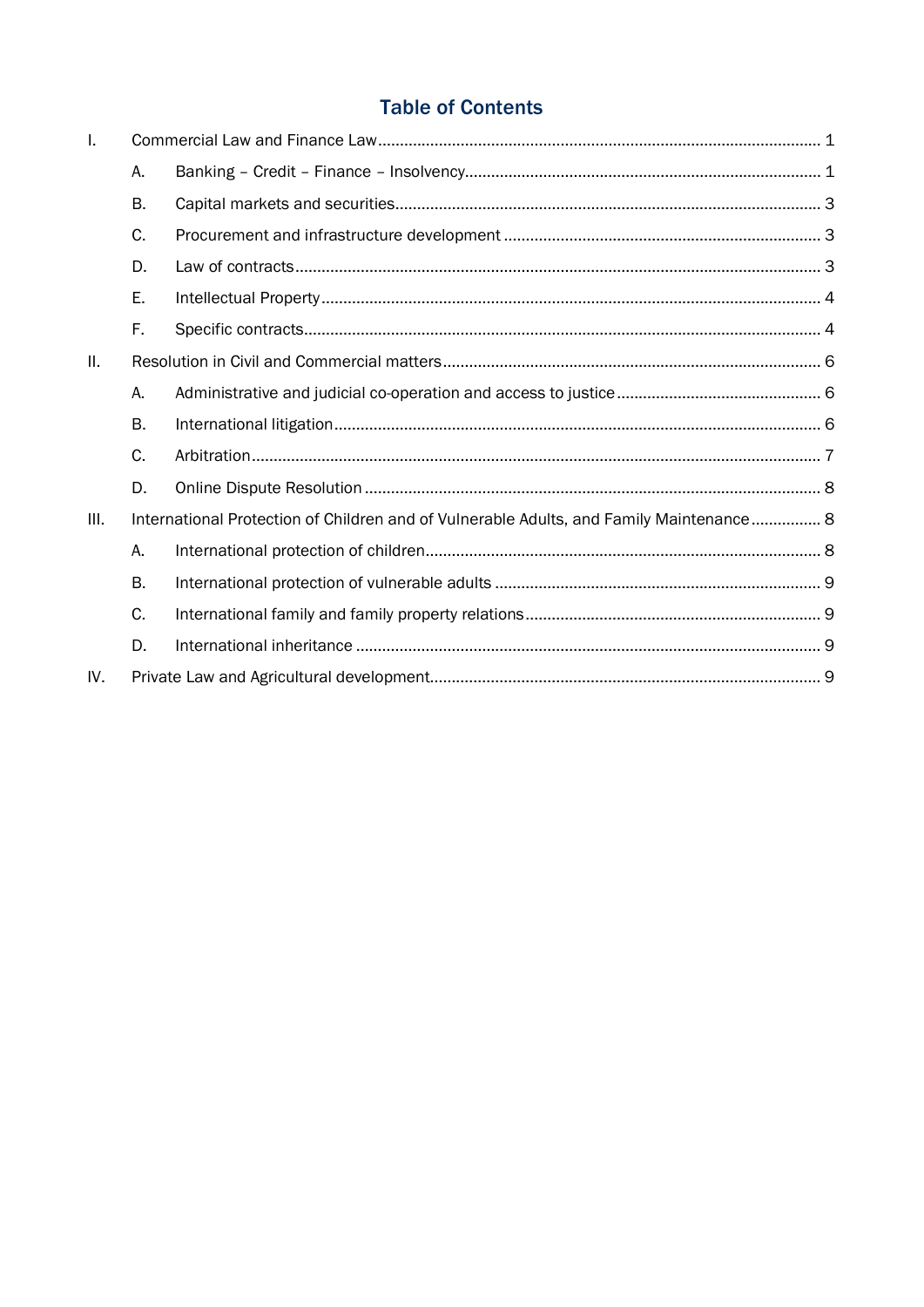# **Table of Contents**

| Τ.              |           |                                                                                         |  |
|-----------------|-----------|-----------------------------------------------------------------------------------------|--|
|                 | А.        |                                                                                         |  |
|                 | <b>B.</b> |                                                                                         |  |
|                 | C.        |                                                                                         |  |
|                 | D.        |                                                                                         |  |
|                 | Ε.        |                                                                                         |  |
|                 | F.        |                                                                                         |  |
| $\mathbf{II}$ . |           |                                                                                         |  |
|                 | Α.        |                                                                                         |  |
|                 | <b>B.</b> |                                                                                         |  |
|                 | C.        |                                                                                         |  |
|                 | D.        |                                                                                         |  |
| III.            |           | International Protection of Children and of Vulnerable Adults, and Family Maintenance 8 |  |
|                 | Α.        |                                                                                         |  |
|                 | <b>B.</b> |                                                                                         |  |
|                 | C.        |                                                                                         |  |
|                 | D.        |                                                                                         |  |
| IV.             |           |                                                                                         |  |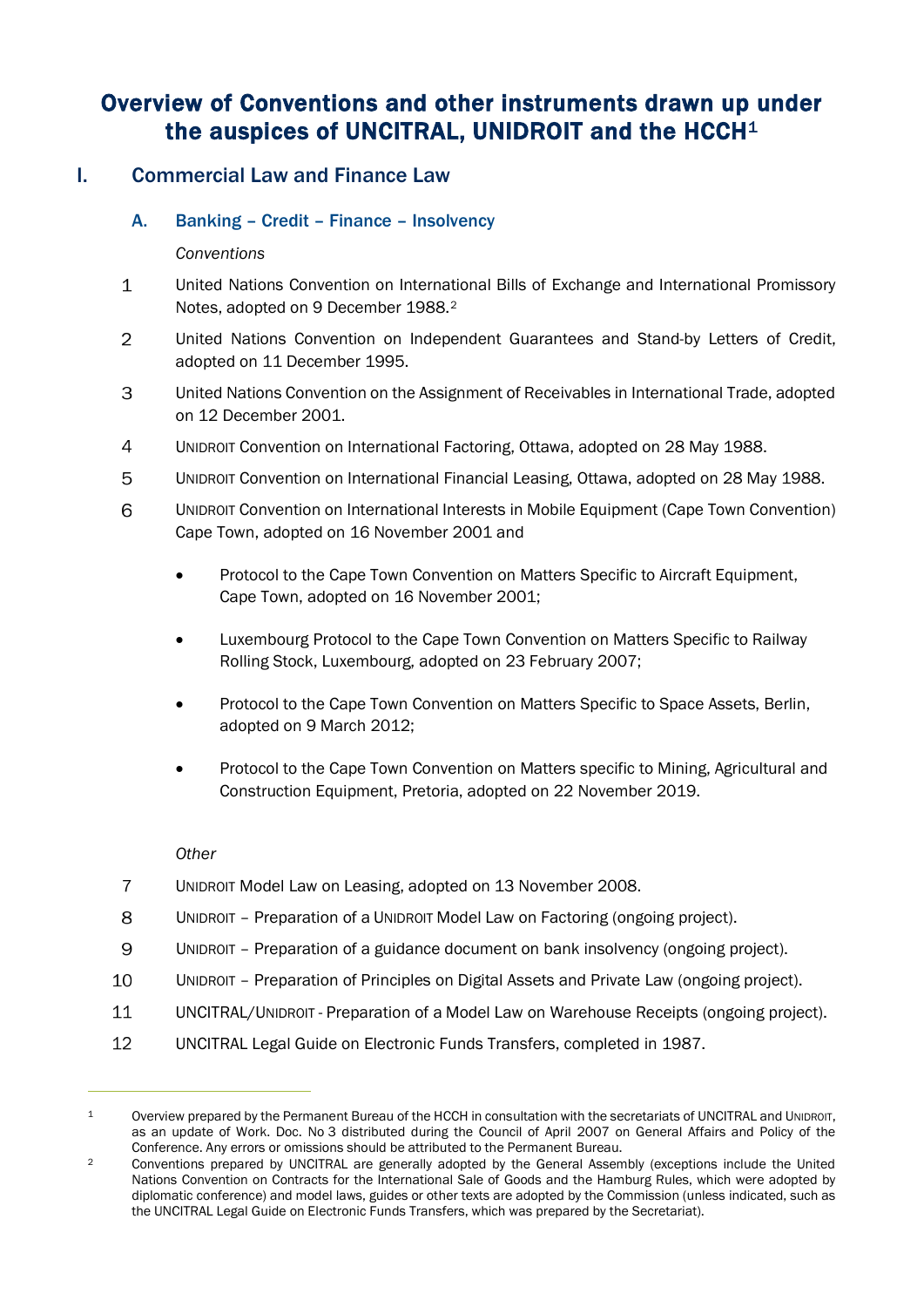# Overview of Conventions and other instruments drawn up under the auspices of UNCITRAL, UNIDROIT and the HCCH<sup>[1](#page-2-2)</sup>

## <span id="page-2-1"></span><span id="page-2-0"></span>I. Commercial Law and Finance Law

## A. Banking – Credit – Finance – Insolvency

## *Conventions*

- $\mathbf{1}$ United Nations Convention on International Bills of Exchange and International Promissory Notes, adopted on 9 December 1988.[2](#page-2-3)
- $\overline{2}$ United Nations Convention on Independent Guarantees and Stand-by Letters of Credit, adopted on 11 December 1995.
- 3 United Nations Convention on the Assignment of Receivables in International Trade, adopted on 12 December 2001.
- $\overline{4}$ UNIDROIT Convention on International Factoring, Ottawa, adopted on 28 May 1988.
- 5 UNIDROIT Convention on International Financial Leasing, Ottawa, adopted on 28 May 1988.
- 6 UNIDROIT Convention on International Interests in Mobile Equipment (Cape Town Convention) Cape Town, adopted on 16 November 2001 and
	- Protocol to the Cape Town Convention on Matters Specific to Aircraft Equipment, Cape Town, adopted on 16 November 2001;
	- Luxembourg Protocol to the Cape Town Convention on Matters Specific to Railway Rolling Stock, Luxembourg, adopted on 23 February 2007;
	- Protocol to the Cape Town Convention on Matters Specific to Space Assets, Berlin, adopted on 9 March 2012;
	- Protocol to the Cape Town Convention on Matters specific to Mining, Agricultural and Construction Equipment, Pretoria, adopted on 22 November 2019.

- $\overline{7}$ UNIDROIT Model Law on Leasing, adopted on 13 November 2008.
- 8 UNIDROIT – Preparation of a UNIDROIT Model Law on Factoring (ongoing project).
- 9 UNIDROIT – Preparation of a guidance document on bank insolvency (ongoing project).
- 10 UNIDROIT – Preparation of Principles on Digital Assets and Private Law (ongoing project).
- 11 UNCITRAL/UNIDROIT - Preparation of a Model Law on Warehouse Receipts (ongoing project).
- 12 UNCITRAL Legal Guide on Electronic Funds Transfers, completed in 1987.

<span id="page-2-2"></span><sup>1</sup> Overview prepared by the Permanent Bureau of the HCCH in consultation with the secretariats of UNCITRAL and UNIDROIT, as an update of Work. Doc. No 3 distributed during the Council of April 2007 on General Affairs and Policy of the Conference. Any errors or omissions should be attributed to the Permanent Bureau.

<span id="page-2-3"></span><sup>2</sup> Conventions prepared by UNCITRAL are generally adopted by the General Assembly (exceptions include the United Nations Convention on Contracts for the International Sale of Goods and the Hamburg Rules, which were adopted by diplomatic conference) and model laws, guides or other texts are adopted by the Commission (unless indicated, such as the UNCITRAL Legal Guide on Electronic Funds Transfers, which was prepared by the Secretariat).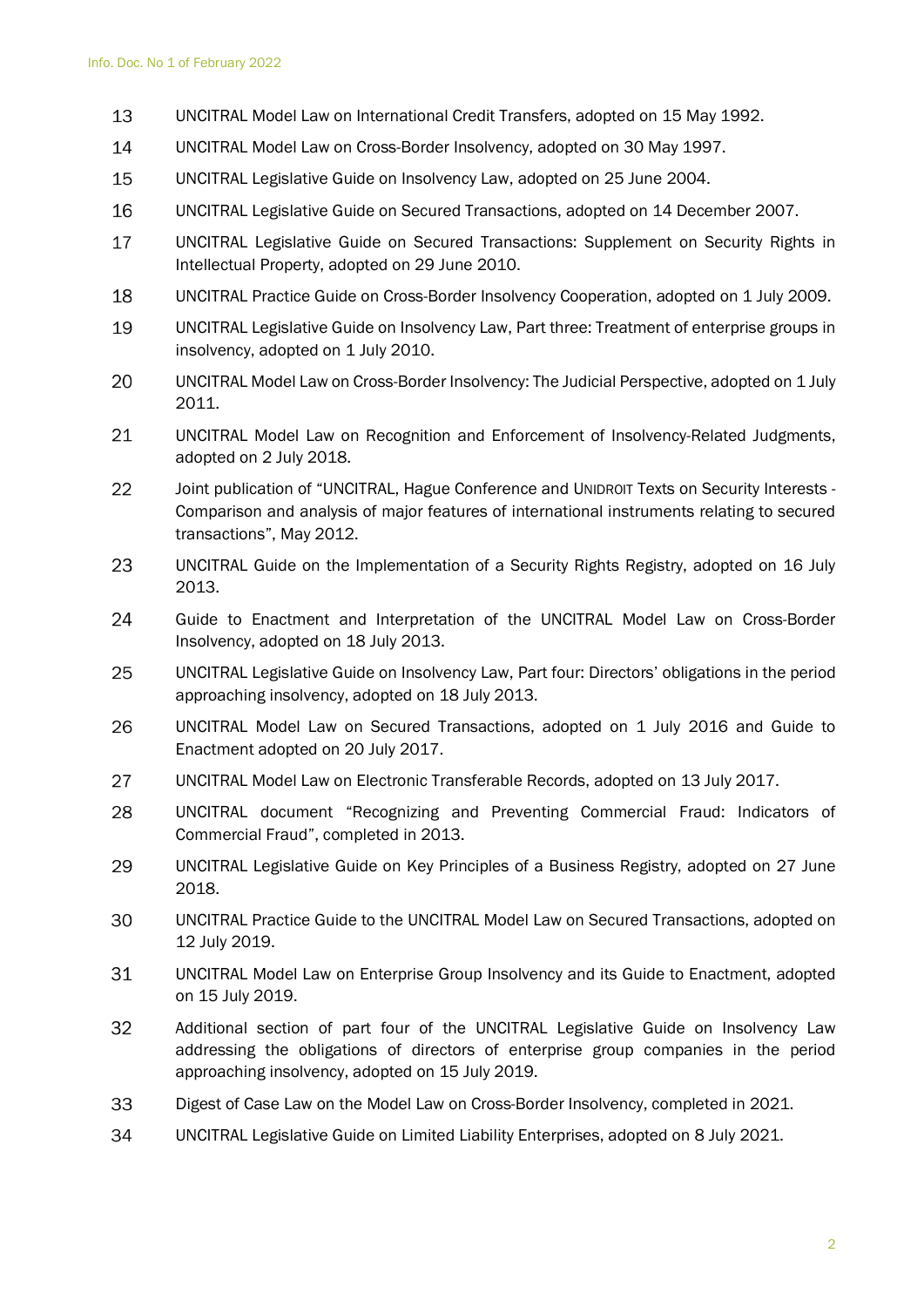- 13 UNCITRAL Model Law on International Credit Transfers, adopted on 15 May 1992.
- 14 UNCITRAL Model Law on Cross-Border Insolvency, adopted on 30 May 1997.
- 15 UNCITRAL Legislative Guide on Insolvency Law, adopted on 25 June 2004.
- 16 UNCITRAL Legislative Guide on Secured Transactions, adopted on 14 December 2007.
- 17 UNCITRAL Legislative Guide on Secured Transactions: Supplement on Security Rights in Intellectual Property, adopted on 29 June 2010.
- 18 UNCITRAL Practice Guide on Cross-Border Insolvency Cooperation, adopted on 1 July 2009.
- 19 UNCITRAL Legislative Guide on Insolvency Law, Part three: Treatment of enterprise groups in insolvency, adopted on 1 July 2010.
- 20 UNCITRAL Model Law on Cross-Border Insolvency: The Judicial Perspective, adopted on 1 July 2011.
- 21 UNCITRAL Model Law on Recognition and Enforcement of Insolvency-Related Judgments, adopted on 2 July 2018.
- 22 Joint publication of "UNCITRAL, Hague Conference and UNIDROIT Texts on Security Interests - Comparison and analysis of major features of international instruments relating to secured transactions", May 2012.
- 23 UNCITRAL Guide on the Implementation of a Security Rights Registry, adopted on 16 July 2013.
- 24 Guide to Enactment and Interpretation of the UNCITRAL Model Law on Cross-Border Insolvency, adopted on 18 July 2013.
- 25 UNCITRAL Legislative Guide on Insolvency Law, Part four: Directors' obligations in the period approaching insolvency, adopted on 18 July 2013.
- UNCITRAL Model Law on Secured Transactions, adopted on 1 July 2016 and Guide to 26 Enactment adopted on 20 July 2017.
- 27 UNCITRAL Model Law on Electronic Transferable Records, adopted on 13 July 2017.
- 28 UNCITRAL document "Recognizing and Preventing Commercial Fraud: Indicators of Commercial Fraud", completed in 2013.
- 29 UNCITRAL Legislative Guide on Key Principles of a Business Registry, adopted on 27 June 2018.
- 30 UNCITRAL Practice Guide to the UNCITRAL Model Law on Secured Transactions, adopted on 12 July 2019.
- 31 UNCITRAL Model Law on Enterprise Group Insolvency and its Guide to Enactment, adopted on 15 July 2019.
- 32 Additional section of part four of the UNCITRAL Legislative Guide on Insolvency Law addressing the obligations of directors of enterprise group companies in the period approaching insolvency, adopted on 15 July 2019.
- Digest of Case Law on the Model Law on Cross-Border Insolvency, completed in 2021. 33
- 34 UNCITRAL Legislative Guide on Limited Liability Enterprises, adopted on 8 July 2021.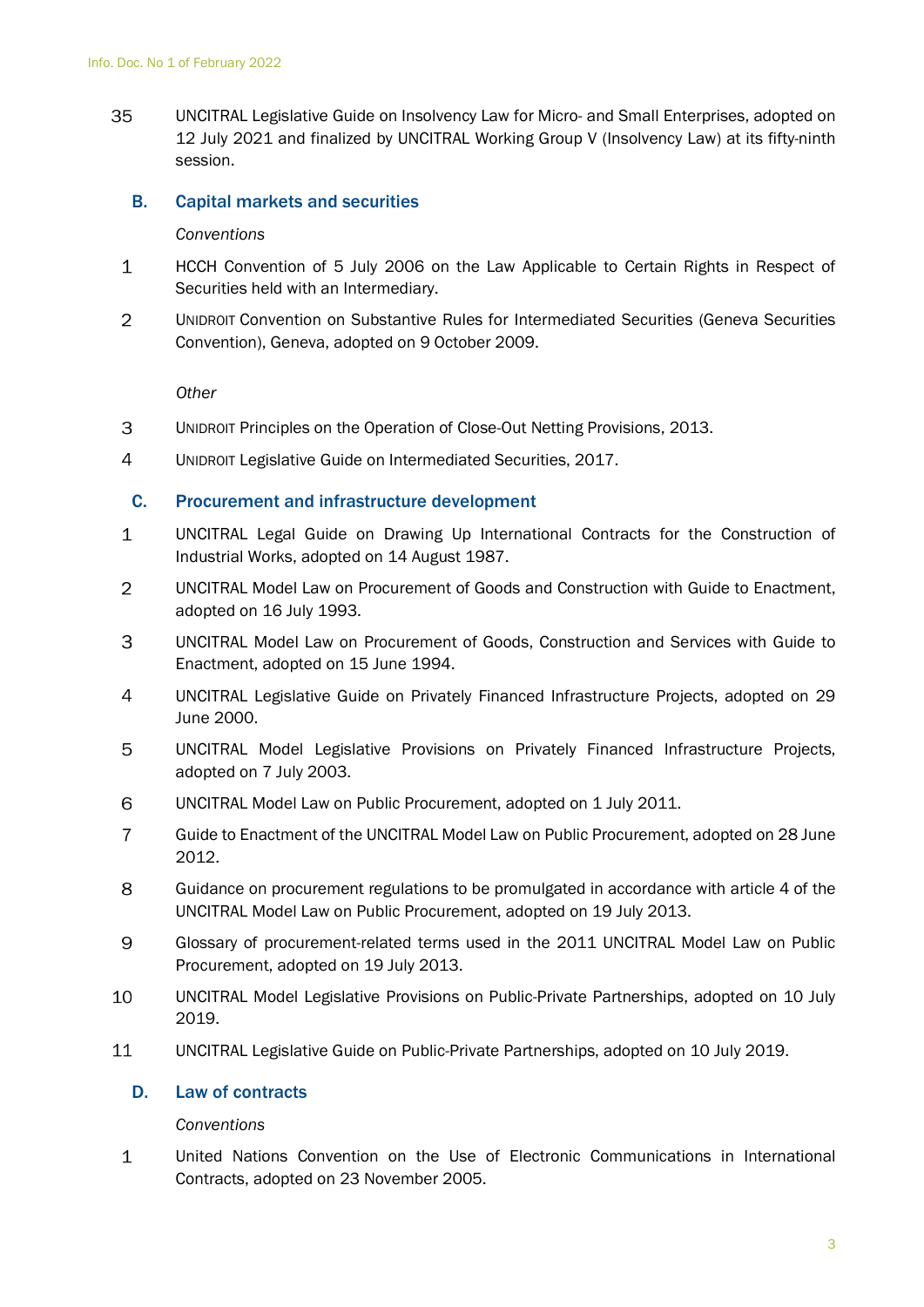35 UNCITRAL Legislative Guide on Insolvency Law for Micro- and Small Enterprises, adopted on 12 July 2021 and finalized by UNCITRAL Working Group V (Insolvency Law) at its fifty-ninth session.

## <span id="page-4-0"></span>B. Capital markets and securities

### *Conventions*

- $\mathbf{1}$ HCCH Convention of 5 July 2006 on the Law Applicable to Certain Rights in Respect of Securities held with an Intermediary.
- $\overline{2}$ UNIDROIT Convention on Substantive Rules for Intermediated Securities (Geneva Securities Convention), Geneva, adopted on 9 October 2009.

*Other*

- 3 UNIDROIT Principles on the Operation of Close-Out Netting Provisions, 2013.
- <span id="page-4-1"></span> $\overline{4}$ UNIDROIT Legislative Guide on Intermediated Securities, 2017.

## C. Procurement and infrastructure development

- $\mathbf 1$ UNCITRAL Legal Guide on Drawing Up International Contracts for the Construction of Industrial Works, adopted on 14 August 1987.
- 2 UNCITRAL Model Law on Procurement of Goods and Construction with Guide to Enactment, adopted on 16 July 1993.
- 3 UNCITRAL Model Law on Procurement of Goods, Construction and Services with Guide to Enactment, adopted on 15 June 1994.
- $\overline{4}$ UNCITRAL Legislative Guide on Privately Financed Infrastructure Projects, adopted on 29 June 2000.
- 5 UNCITRAL Model Legislative Provisions on Privately Financed Infrastructure Projects, adopted on 7 July 2003.
- 6 UNCITRAL Model Law on Public Procurement, adopted on 1 July 2011.
- $\overline{7}$ Guide to Enactment of the UNCITRAL Model Law on Public Procurement, adopted on 28 June 2012.
- 8 Guidance on procurement regulations to be promulgated in accordance with article 4 of the UNCITRAL Model Law on Public Procurement, adopted on 19 July 2013.
- 9 Glossary of procurement-related terms used in the 2011 UNCITRAL Model Law on Public Procurement, adopted on 19 July 2013.
- 10 UNCITRAL Model Legislative Provisions on Public-Private Partnerships, adopted on 10 July 2019.
- <span id="page-4-2"></span>11 UNCITRAL Legislative Guide on Public-Private Partnerships, adopted on 10 July 2019.

## D. Law of contracts

#### *Conventions*

 $\mathbf{1}$ United Nations Convention on the Use of Electronic Communications in International Contracts, adopted on 23 November 2005.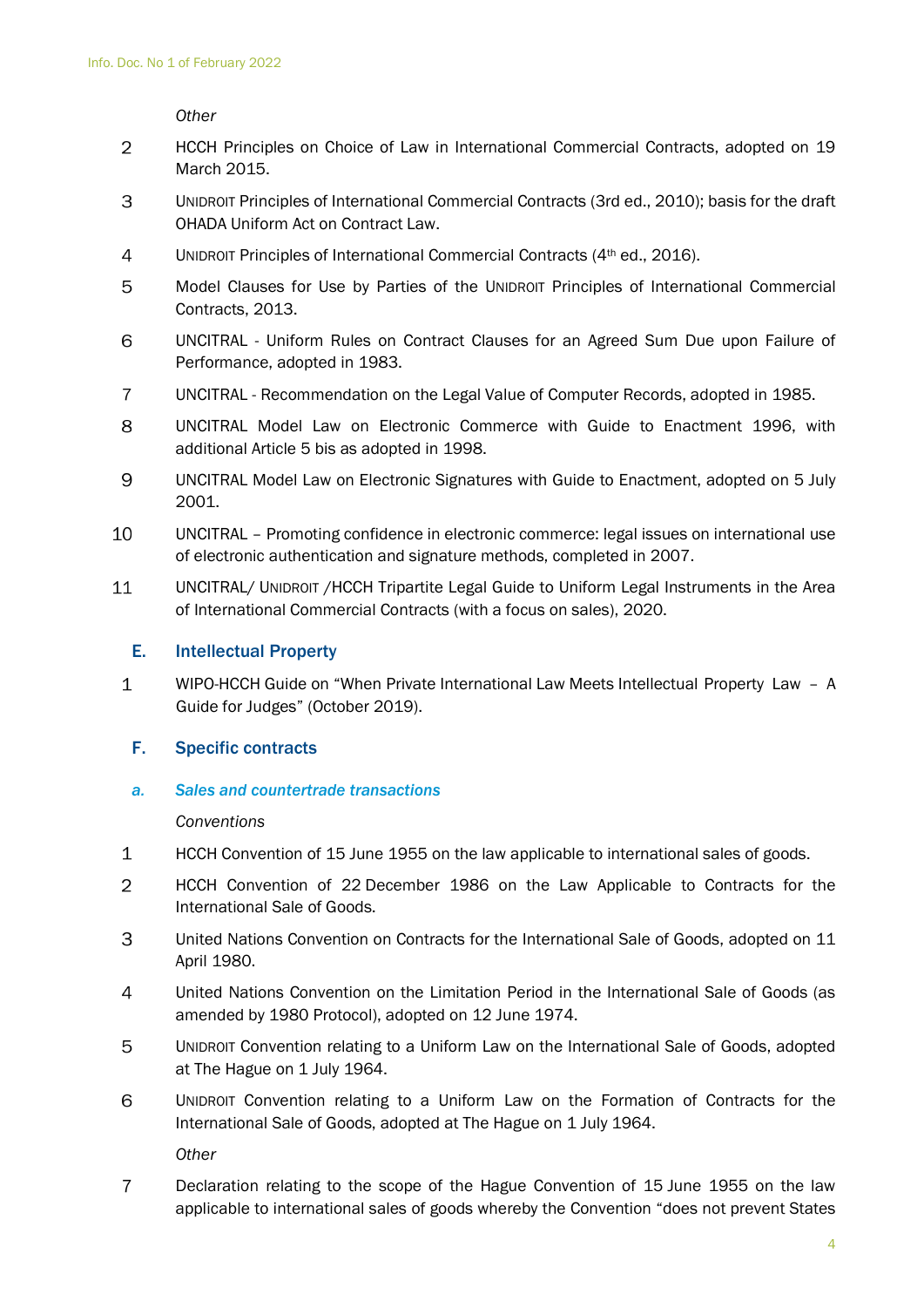*Other*

- $\overline{2}$ HCCH Principles on Choice of Law in International Commercial Contracts, adopted on 19 March 2015.
- 3 UNIDROIT Principles of International Commercial Contracts (3rd ed., 2010); basis for the draft OHADA Uniform Act on Contract Law.
- $\overline{4}$ UNIDROIT Principles of International Commercial Contracts (4<sup>th</sup> ed., 2016).
- 5 Model Clauses for Use by Parties of the UNIDROIT Principles of International Commercial Contracts, 2013.
- 6 UNCITRAL - Uniform Rules on Contract Clauses for an Agreed Sum Due upon Failure of Performance, adopted in 1983.
- $\overline{7}$ UNCITRAL - Recommendation on the Legal Value of Computer Records, adopted in 1985.
- 8 UNCITRAL Model Law on Electronic Commerce with Guide to Enactment 1996, with additional Article 5 bis as adopted in 1998.
- 9 UNCITRAL Model Law on Electronic Signatures with Guide to Enactment, adopted on 5 July 2001.
- 10 UNCITRAL – Promoting confidence in electronic commerce: legal issues on international use of electronic authentication and signature methods, completed in 2007.
- 11 UNCITRAL/ UNIDROIT /HCCH Tripartite Legal Guide to Uniform Legal Instruments in the Area of International Commercial Contracts (with a focus on sales), 2020.

#### <span id="page-5-0"></span>E. Intellectual Property

 $\mathbf{1}$ WIPO-HCCH Guide on "When Private International Law Meets Intellectual Property Law – A Guide for Judges" (October 2019).

## <span id="page-5-1"></span>F. Specific contracts

*a. Sales and countertrade transactions*

#### *Conventions*

- $\mathbf{1}$ HCCH Convention of 15 June 1955 on the law applicable to international sales of goods.
- 2 HCCH Convention of 22 December 1986 on the Law Applicable to Contracts for the International Sale of Goods.
- 3 United Nations Convention on Contracts for the International Sale of Goods, adopted on 11 April 1980.
- $\overline{4}$ United Nations Convention on the Limitation Period in the International Sale of Goods (as amended by 1980 Protocol), adopted on 12 June 1974.
- 5 UNIDROIT Convention relating to a Uniform Law on the International Sale of Goods, adopted at The Hague on 1 July 1964.
- 6 UNIDROIT Convention relating to a Uniform Law on the Formation of Contracts for the International Sale of Goods, adopted at The Hague on 1 July 1964.

*Other*

 $\overline{7}$ Declaration relating to the scope of the Hague Convention of 15 June 1955 on the law applicable to international sales of goods whereby the Convention "does not prevent States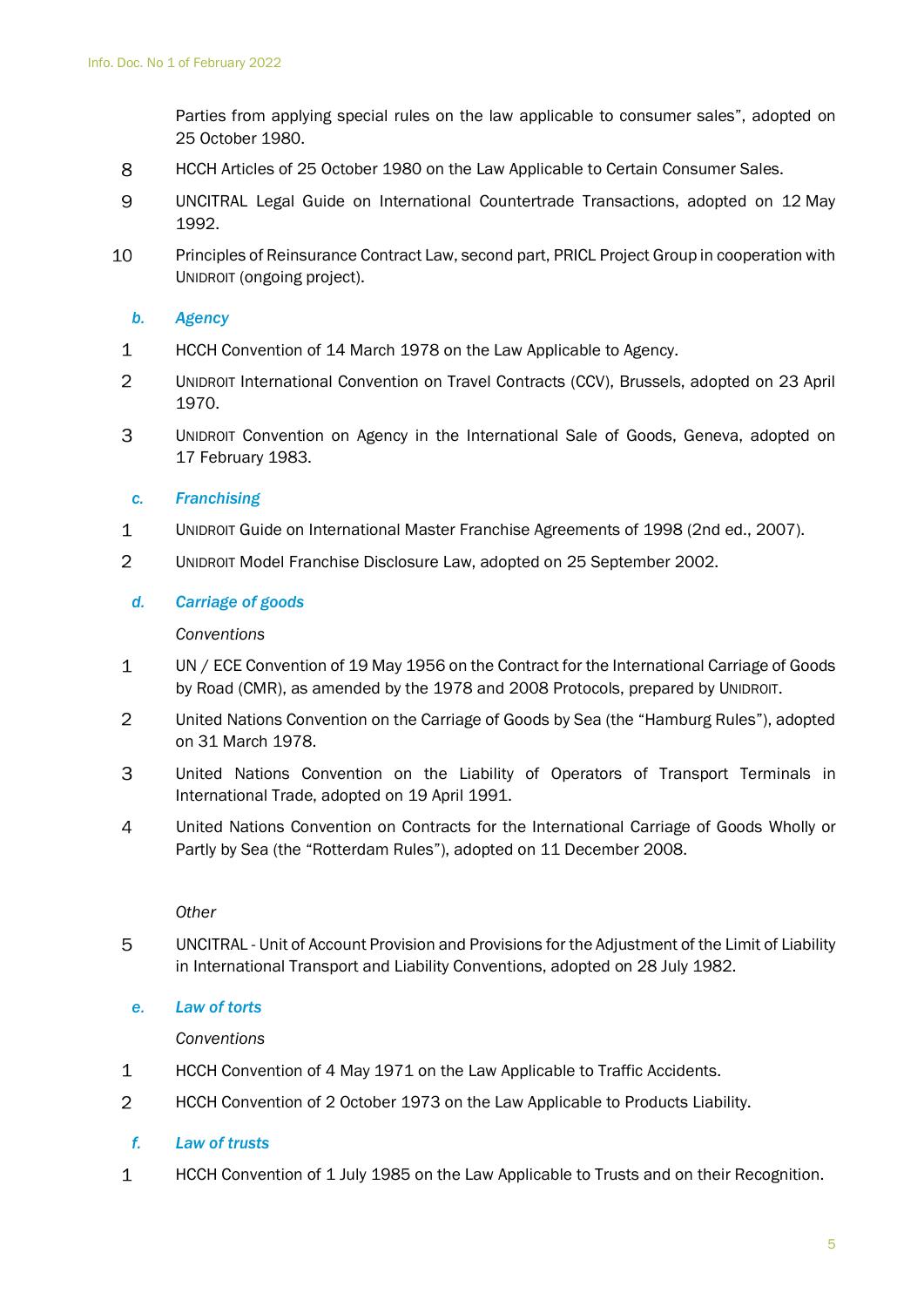Parties from applying special rules on the law applicable to consumer sales", adopted on 25 October 1980.

- 8 HCCH Articles of 25 October 1980 on the Law Applicable to Certain Consumer Sales.
- 9 UNCITRAL Legal Guide on International Countertrade Transactions, adopted on 12 May 1992.
- 10 Principles of Reinsurance Contract Law, second part, PRICL Project Group in cooperation with UNIDROIT (ongoing project).

### *b. Agency*

- $\mathbf{1}$ HCCH Convention of 14 March 1978 on the Law Applicable to Agency.
- $\overline{2}$ UNIDROIT International Convention on Travel Contracts (CCV), Brussels, adopted on 23 April 1970.
- 3 UNIDROIT Convention on Agency in the International Sale of Goods, Geneva, adopted on 17 February 1983.

#### *c. Franchising*

- $\mathbf 1$ UNIDROIT Guide on International Master Franchise Agreements of 1998 (2nd ed., 2007).
- $\overline{2}$ UNIDROIT Model Franchise Disclosure Law, adopted on 25 September 2002.

#### *d. Carriage of goods*

#### *Conventions*

- $\mathbf{1}$ UN / ECE Convention of 19 May 1956 on the Contract for the International Carriage of Goods by Road (CMR), as amended by the 1978 and 2008 Protocols, prepared by UNIDROIT.
- $\overline{2}$ United Nations Convention on the Carriage of Goods by Sea (the "Hamburg Rules"), adopted on 31 March 1978.
- 3 United Nations Convention on the Liability of Operators of Transport Terminals in International Trade, adopted on 19 April 1991.
- $\overline{4}$ United Nations Convention on Contracts for the International Carriage of Goods Wholly or Partly by Sea (the "Rotterdam Rules"), adopted on 11 December 2008.

#### *Other*

5 UNCITRAL - Unit of Account Provision and Provisions for the Adjustment of the Limit of Liability in International Transport and Liability Conventions, adopted on 28 July 1982.

#### *e. Law of torts*

#### *Conventions*

- $\mathbf{1}$ HCCH Convention of 4 May 1971 on the Law Applicable to Traffic Accidents.
- $\overline{2}$ HCCH Convention of 2 October 1973 on the Law Applicable to Products Liability.

#### *f. Law of trusts*

 $\mathbf{1}$ HCCH Convention of 1 July 1985 on the Law Applicable to Trusts and on their Recognition.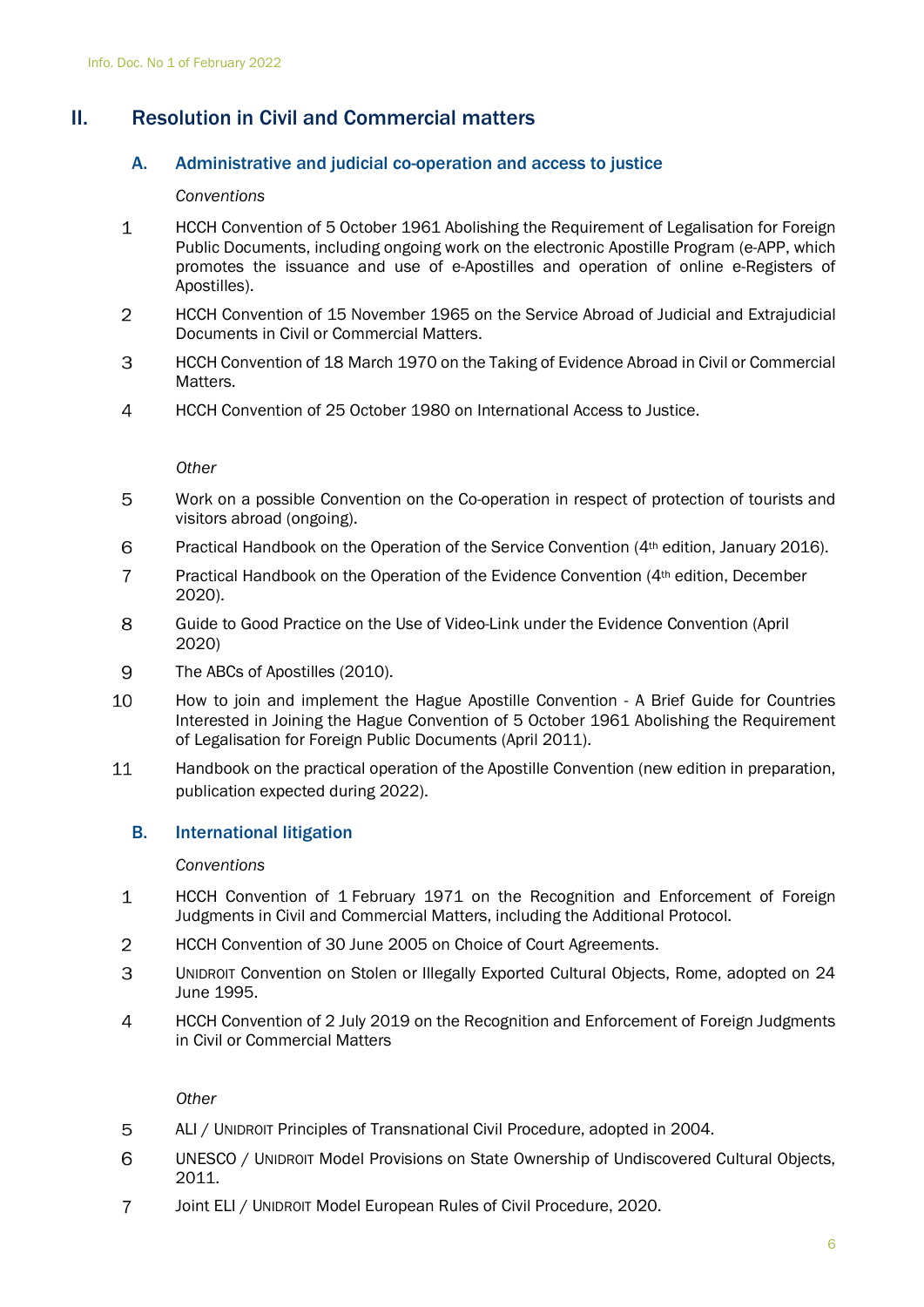## <span id="page-7-1"></span><span id="page-7-0"></span>II. Resolution in Civil and Commercial matters

## A. Administrative and judicial co-operation and access to justice

### *Conventions*

- $\mathbf{1}$ HCCH Convention of 5 October 1961 Abolishing the Requirement of Legalisation for Foreign Public Documents, including ongoing work on the electronic Apostille Program (e-APP, which promotes the issuance and use of e-Apostilles and operation of online e-Registers of Apostilles).
- $\overline{2}$ HCCH Convention of 15 November 1965 on the Service Abroad of Judicial and Extrajudicial Documents in Civil or Commercial Matters.
- 3 HCCH Convention of 18 March 1970 on the Taking of Evidence Abroad in Civil or Commercial Matters.
- $\overline{4}$ HCCH Convention of 25 October 1980 on International Access to Justice.

*Other*

- 5 Work on a possible Convention on the Co-operation in respect of protection of tourists and visitors abroad (ongoing).
- 6 Practical Handbook on the Operation of the Service Convention (4<sup>th</sup> edition, January 2016).
- $\overline{7}$ Practical Handbook on the Operation of the Evidence Convention (4th edition, December 2020).
- $\mathsf{R}$ Guide to Good Practice on the Use of Video-Link under the Evidence Convention (April 2020)
- 9 The ABCs of Apostilles (2010).
- 10 How to join and implement the Hague Apostille Convention - A Brief Guide for Countries Interested in Joining the Hague Convention of 5 October 1961 Abolishing the Requirement of Legalisation for Foreign Public Documents (April 2011).
- 11 Handbook on the practical operation of the Apostille Convention (new edition in preparation, publication expected during 2022).

## <span id="page-7-2"></span>B. International litigation

#### *Conventions*

- $\mathbf{1}$ HCCH Convention of 1 February 1971 on the Recognition and Enforcement of Foreign Judgments in Civil and Commercial Matters, including the Additional Protocol.
- 2 HCCH Convention of 30 June 2005 on Choice of Court Agreements.
- 3 UNIDROIT Convention on Stolen or Illegally Exported Cultural Objects, Rome, adopted on 24 June 1995.
- $\overline{4}$ HCCH Convention of 2 July 2019 on the Recognition and Enforcement of Foreign Judgments in Civil or Commercial Matters

- ALI / UNIDROIT Principles of Transnational Civil Procedure, adopted in 2004. 5
- 6 UNESCO / UNIDROIT Model Provisions on State Ownership of Undiscovered Cultural Objects, 2011.
- $\overline{7}$ Joint ELI / UNIDROIT Model European Rules of Civil Procedure, 2020.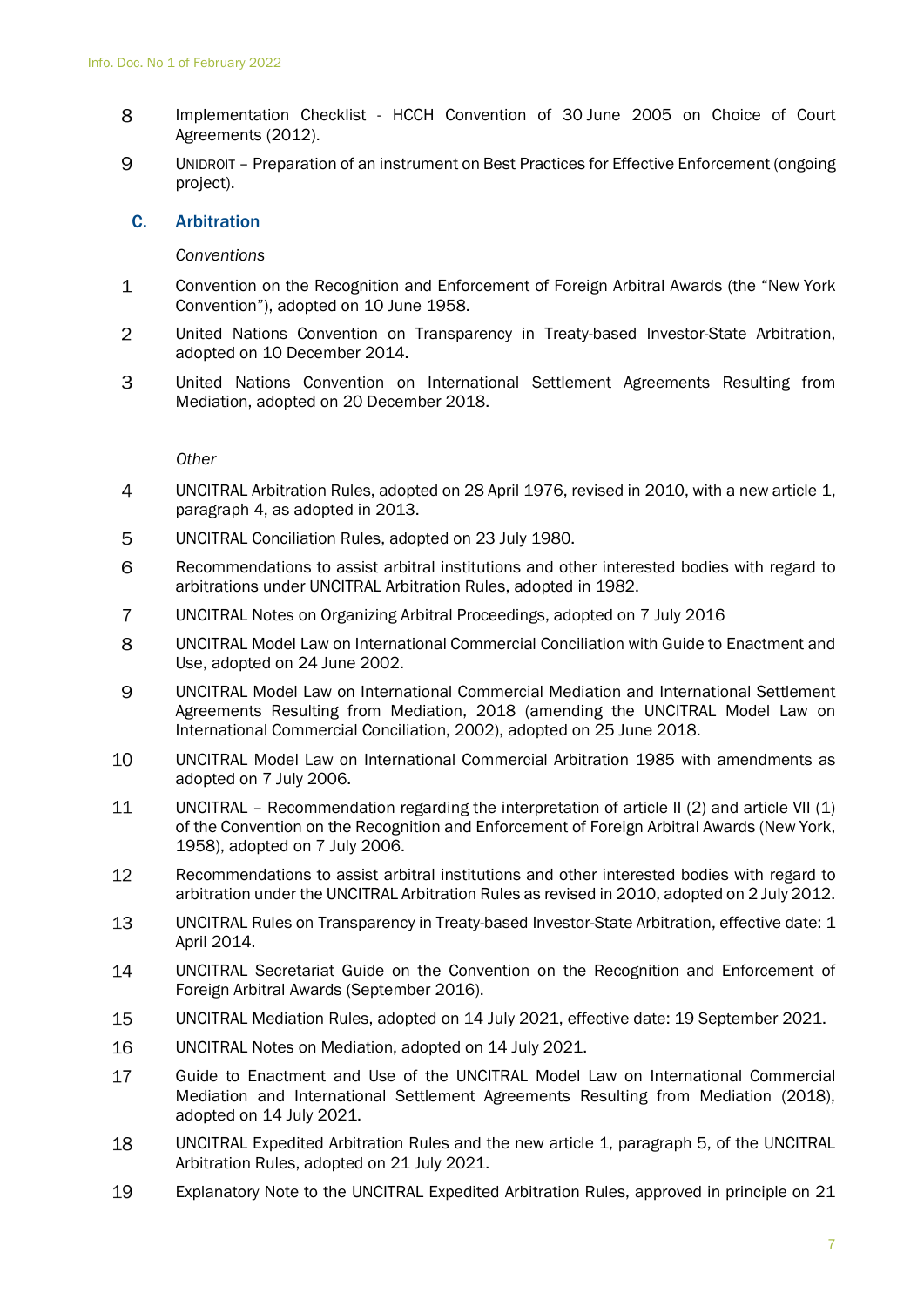- 8 Implementation Checklist - HCCH Convention of 30 June 2005 on Choice of Court Agreements (2012).
- 9 UNIDROIT – Preparation of an instrument on Best Practices for Effective Enforcement (ongoing project).

### <span id="page-8-0"></span>C. Arbitration

#### *Conventions*

- $\mathbf{1}$ Convention on the Recognition and Enforcement of Foreign Arbitral Awards (the "New York Convention"), adopted on 10 June 1958.
- 2 United Nations Convention on Transparency in Treaty-based Investor-State Arbitration, adopted on 10 December 2014.
- 3 United Nations Convention on International Settlement Agreements Resulting from Mediation, adopted on 20 December 2018.

- $\overline{4}$ UNCITRAL Arbitration Rules, adopted on 28 April 1976, revised in 2010, with a new article 1, paragraph 4, as adopted in 2013.
- 5 UNCITRAL Conciliation Rules, adopted on 23 July 1980.
- 6 Recommendations to assist arbitral institutions and other interested bodies with regard to arbitrations under UNCITRAL Arbitration Rules, adopted in 1982.
- $\overline{7}$ UNCITRAL Notes on Organizing Arbitral Proceedings, adopted on 7 July 2016
- 8 UNCITRAL Model Law on International Commercial Conciliation with Guide to Enactment and Use, adopted on 24 June 2002.
- 9 UNCITRAL Model Law on International Commercial Mediation and International Settlement Agreements Resulting from Mediation, 2018 (amending the UNCITRAL Model Law on International Commercial Conciliation, 2002), adopted on 25 June 2018.
- 10 UNCITRAL Model Law on International Commercial Arbitration 1985 with amendments as adopted on 7 July 2006.
- 11 UNCITRAL – Recommendation regarding the interpretation of article II (2) and article VII (1) of the Convention on the Recognition and Enforcement of Foreign Arbitral Awards (New York, 1958), adopted on 7 July 2006.
- 12 Recommendations to assist arbitral institutions and other interested bodies with regard to arbitration under the UNCITRAL Arbitration Rules as revised in 2010, adopted on 2 July 2012.
- 13 UNCITRAL Rules on Transparency in Treaty-based Investor-State Arbitration, effective date: 1 April 2014.
- 14 UNCITRAL Secretariat Guide on the Convention on the Recognition and Enforcement of Foreign Arbitral Awards (September 2016).
- 15 UNCITRAL Mediation Rules, adopted on 14 July 2021, effective date: 19 September 2021.
- 16 UNCITRAL Notes on Mediation, adopted on 14 July 2021.
- 17 Guide to Enactment and Use of the UNCITRAL Model Law on International Commercial Mediation and International Settlement Agreements Resulting from Mediation (2018), adopted on 14 July 2021.
- 18 UNCITRAL Expedited Arbitration Rules and the new article 1, paragraph 5, of the UNCITRAL Arbitration Rules, adopted on 21 July 2021.
- 19 Explanatory Note to the UNCITRAL Expedited Arbitration Rules, approved in principle on 21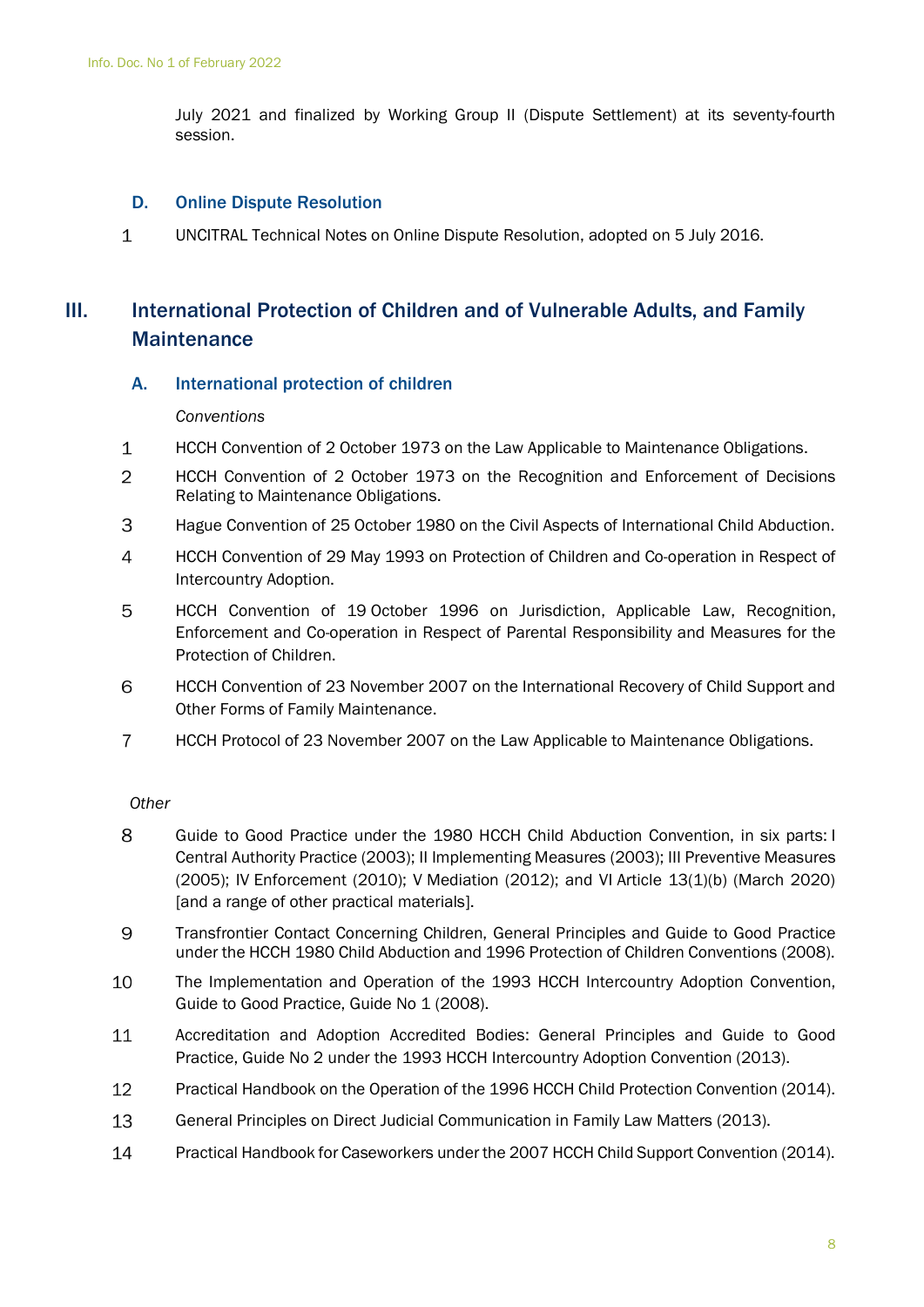July 2021 and finalized by Working Group II (Dispute Settlement) at its seventy-fourth session.

## <span id="page-9-0"></span>D. Online Dispute Resolution

 $\mathbf{1}$ UNCITRAL Technical Notes on Online Dispute Resolution, adopted on 5 July 2016.

## <span id="page-9-1"></span>III. International Protection of Children and of Vulnerable Adults, and Family **Maintenance**

## <span id="page-9-2"></span>A. International protection of children

#### *Conventions*

- $\mathbf{1}$ HCCH Convention of 2 October 1973 on the Law Applicable to Maintenance Obligations.
- 2 HCCH Convention of 2 October 1973 on the Recognition and Enforcement of Decisions Relating to Maintenance Obligations.
- 3 Hague Convention of 25 October 1980 on the Civil Aspects of International Child Abduction.
- $\overline{4}$ HCCH Convention of 29 May 1993 on Protection of Children and Co-operation in Respect of Intercountry Adoption.
- 5 HCCH Convention of 19 October 1996 on Jurisdiction, Applicable Law, Recognition, Enforcement and Co-operation in Respect of Parental Responsibility and Measures for the Protection of Children.
- 6 HCCH Convention of 23 November 2007 on the International Recovery of Child Support and Other Forms of Family Maintenance.
- $\overline{7}$ HCCH Protocol of 23 November 2007 on the Law Applicable to Maintenance Obligations.

- 8 Guide to Good Practice under the 1980 HCCH Child Abduction Convention, in six parts: I Central Authority Practice (2003); II Implementing Measures (2003); III Preventive Measures (2005); IV Enforcement (2010); V Mediation (2012); and VI Article 13(1)(b) (March 2020) [and a range of other practical materials].
- 9 Transfrontier Contact Concerning Children, General Principles and Guide to Good Practice under the HCCH 1980 Child Abduction and 1996 Protection of Children Conventions (2008).
- 10 The Implementation and Operation of the 1993 HCCH Intercountry Adoption Convention, Guide to Good Practice, Guide No 1 (2008).
- 11 Accreditation and Adoption Accredited Bodies: General Principles and Guide to Good Practice, Guide No 2 under the 1993 HCCH Intercountry Adoption Convention (2013).
- 12 Practical Handbook on the Operation of the 1996 HCCH Child Protection Convention (2014).
- 13 General Principles on Direct Judicial Communication in Family Law Matters (2013).
- 14 Practical Handbook for Caseworkers under the 2007 HCCH Child Support Convention (2014).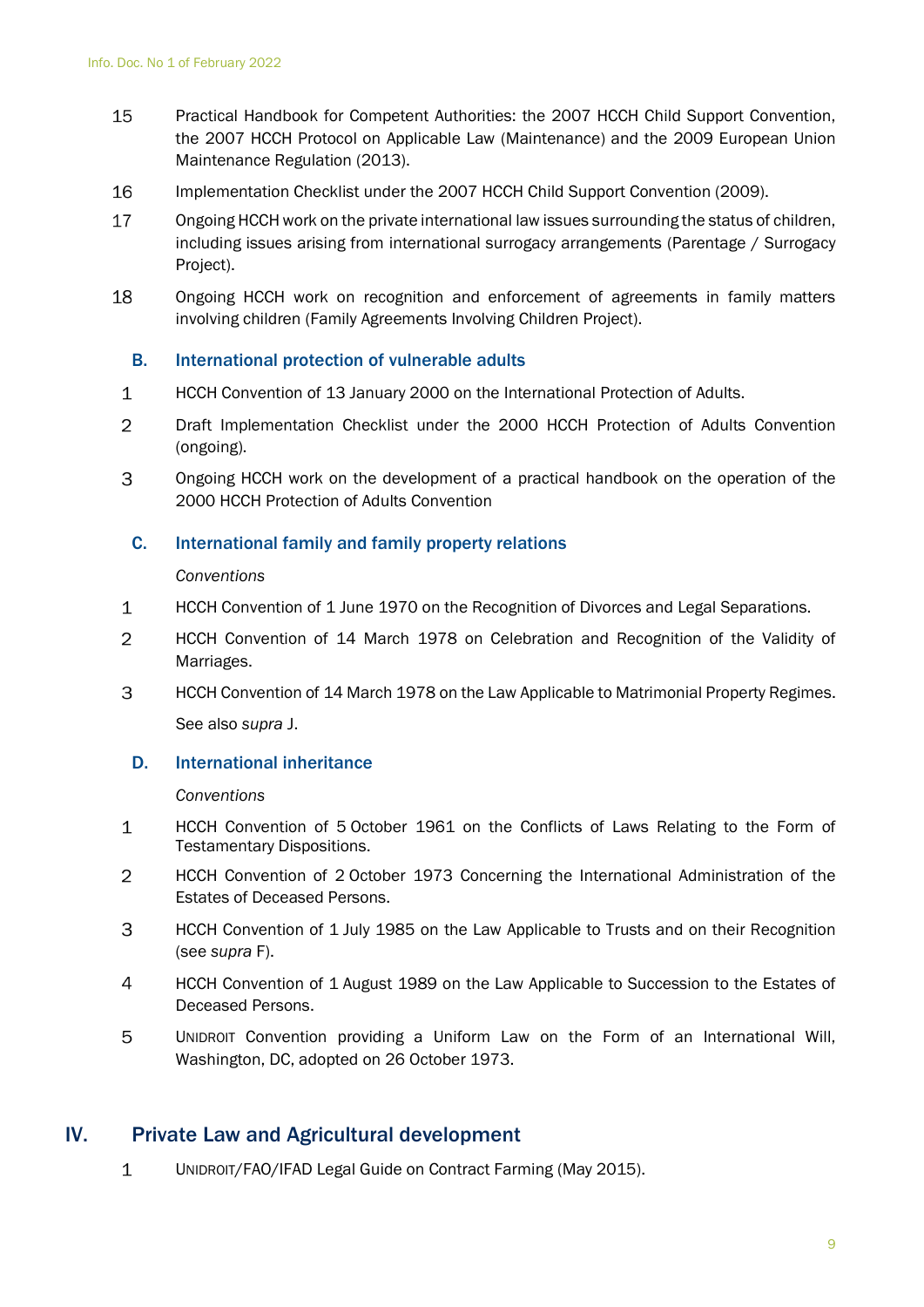- 15 Practical Handbook for Competent Authorities: the 2007 HCCH Child Support Convention, the 2007 HCCH Protocol on Applicable Law (Maintenance) and the 2009 European Union Maintenance Regulation (2013).
- 16 Implementation Checklist under the 2007 HCCH Child Support Convention (2009).
- 17 Ongoing HCCH work on the private international law issues surrounding the status of children, including issues arising from international surrogacy arrangements (Parentage / Surrogacy Project).
- 18 Ongoing HCCH work on recognition and enforcement of agreements in family matters involving children (Family Agreements Involving Children Project).

## <span id="page-10-0"></span>B. International protection of vulnerable adults

- HCCH Convention of 13 January 2000 on the International Protection of Adults.  $\mathbf{1}$
- 2 Draft Implementation Checklist under the 2000 HCCH Protection of Adults Convention (ongoing).
- 3 Ongoing HCCH work on the development of a practical handbook on the operation of the 2000 HCCH Protection of Adults Convention

## <span id="page-10-1"></span>C. International family and family property relations

#### *Conventions*

- $\mathbf 1$ HCCH Convention of 1 June 1970 on the Recognition of Divorces and Legal Separations.
- $\overline{2}$ HCCH Convention of 14 March 1978 on Celebration and Recognition of the Validity of Marriages.
- 3 HCCH Convention of 14 March 1978 on the Law Applicable to Matrimonial Property Regimes. See also *supra* J.

## <span id="page-10-2"></span>D. International inheritance

#### *Conventions*

- $\mathbf{1}$ HCCH Convention of 5 October 1961 on the Conflicts of Laws Relating to the Form of Testamentary Dispositions.
- $\overline{2}$ HCCH Convention of 2 October 1973 Concerning the International Administration of the Estates of Deceased Persons.
- 3 HCCH Convention of 1 July 1985 on the Law Applicable to Trusts and on their Recognition (see *supra* F).
- $\overline{4}$ HCCH Convention of 1 August 1989 on the Law Applicable to Succession to the Estates of Deceased Persons.
- 5 UNIDROIT Convention providing a Uniform Law on the Form of an International Will, Washington, DC, adopted on 26 October 1973.

## <span id="page-10-3"></span>IV. Private Law and Agricultural development

 $\mathbf 1$ UNIDROIT/FAO/IFAD Legal Guide on Contract Farming (May 2015).